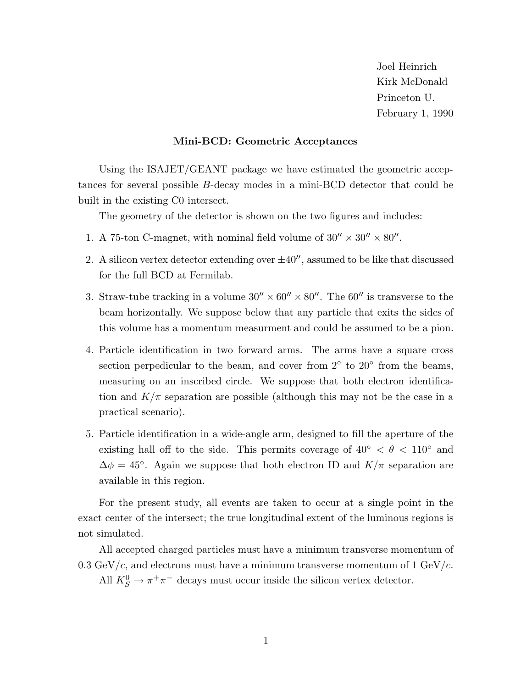Joel Heinrich Kirk McDonald Princeton U. February 1, 1990

#### **Mini-BCD: Geometric Acceptances**

Using the ISAJET/GEANT package we have estimated the geometric acceptances for several possible B-decay modes in a mini-BCD detector that could be built in the existing C0 intersect.

The geometry of the detector is shown on the two figures and includes:

- 1. A 75-ton C-magnet, with nominal field volume of  $30'' \times 30'' \times 80''$ .
- 2. A silicon vertex detector extending over  $\pm 40''$ , assumed to be like that discussed for the full BCD at Fermilab.
- 3. Straw-tube tracking in a volume  $30'' \times 60'' \times 80''$ . The 60'' is transverse to the beam horizontally. We suppose below that any particle that exits the sides of this volume has a momentum measurment and could be assumed to be a pion.
- 4. Particle identification in two forward arms. The arms have a square cross section perpedicular to the beam, and cover from  $2°$  to  $20°$  from the beams, measuring on an inscribed circle. We suppose that both electron identification and  $K/\pi$  separation are possible (although this may not be the case in a practical scenario).
- 5. Particle identification in a wide-angle arm, designed to fill the aperture of the existing hall off to the side. This permits coverage of  $40^{\circ} < \theta < 110^{\circ}$  and  $\Delta \phi = 45^{\circ}$ . Again we suppose that both electron ID and  $K/\pi$  separation are available in this region.

For the present study, all events are taken to occur at a single point in the exact center of the intersect; the true longitudinal extent of the luminous regions is not simulated.

All accepted charged particles must have a minimum transverse momentum of 0.3 GeV/c, and electrons must have a minimum transverse momentum of 1 GeV/c.

All  $K_S^0 \to \pi^+ \pi^-$  decays must occur inside the silicon vertex detector.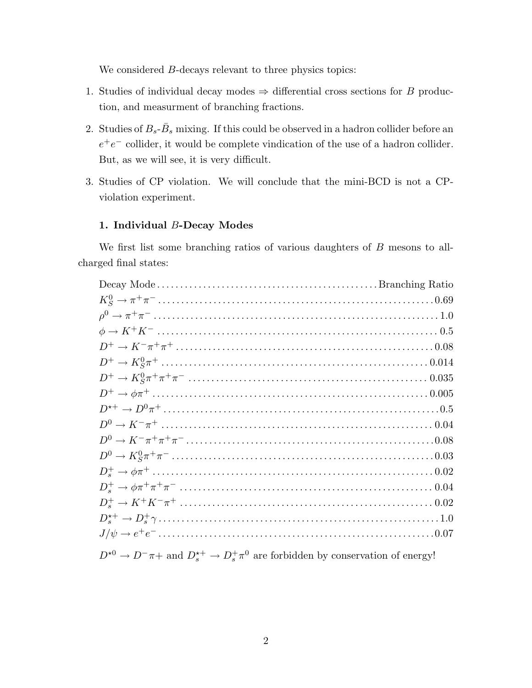We considered B-decays relevant to three physics topics:

- 1. Studies of individual decay modes  $\Rightarrow$  differential cross sections for B production, and measurment of branching fractions.
- 2. Studies of  $B_s$ - $\bar{B}_s$  mixing. If this could be observed in a hadron collider before an  $e^+e^-$  collider, it would be complete vindication of the use of a hadron collider. But, as we will see, it is very difficult.
- 3. Studies of CP violation. We will conclude that the mini-BCD is not a CPviolation experiment.

### **1. Individual** B**-Decay Modes**

We first list some branching ratios of various daughters of B mesons to allcharged final states:

 $D^{*0} \to D^- \pi +$  and  $D_s^{*+} \to D_s^+ \pi^0$  are forbidden by conservation of energy!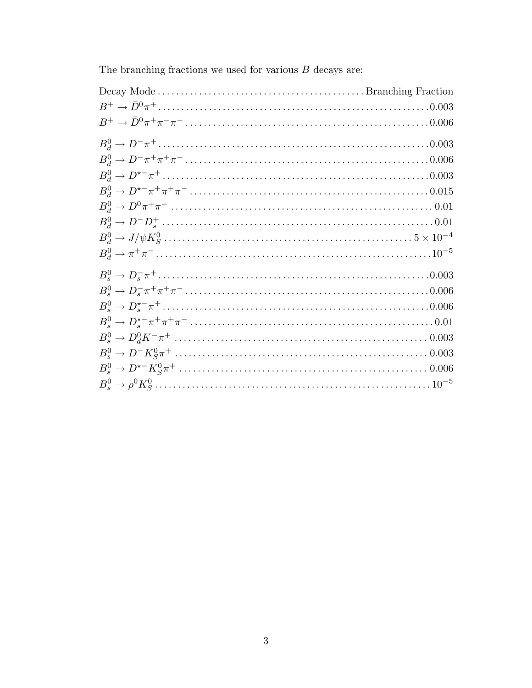The branching fractions we used for various  $\cal B$  decays are: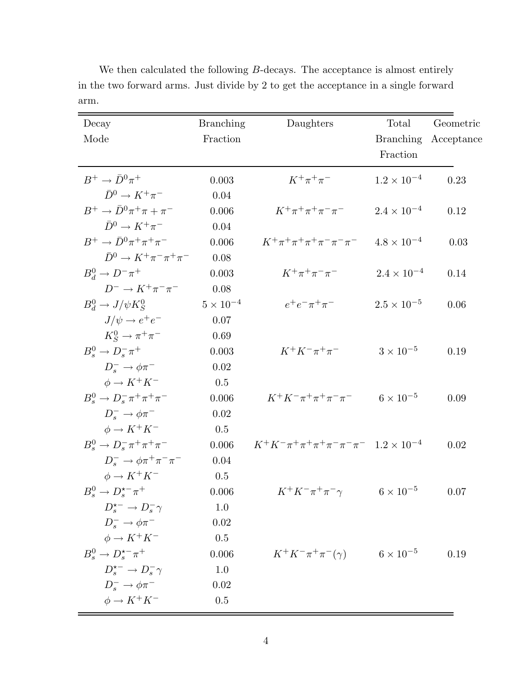| Decay                                      | <b>Branching</b> | Daughters                                                            | Total                | Geometric  |
|--------------------------------------------|------------------|----------------------------------------------------------------------|----------------------|------------|
| Mode                                       | Fraction         |                                                                      | <b>Branching</b>     | Acceptance |
|                                            |                  |                                                                      | Fraction             |            |
| $B^+\to \bar{D}^0\pi^+$                    | 0.003            | $K^+\pi^+\pi^-$                                                      | $1.2 \times 10^{-4}$ | 0.23       |
| $\bar{D}^0 \rightarrow K^+\pi^-$           | 0.04             |                                                                      |                      |            |
| $B^+\to \bar{D}^0\pi^+\pi+\pi^-$           | 0.006            | $K^+\pi^+\pi^+\pi^-\pi^-$                                            | $2.4 \times 10^{-4}$ | 0.12       |
| $\bar{D}^0 \rightarrow K^+\pi^-$           | 0.04             |                                                                      |                      |            |
| $B^+\to \bar{D}^0\pi^+\pi^+\pi^-$          | 0.006            | $K^+\pi^+\pi^+\pi^+\pi^-\pi^-\pi^-$                                  | $4.8 \times 10^{-4}$ | 0.03       |
| $\bar{D}^0 \rightarrow K^+\pi^-\pi^+\pi^-$ | 0.08             |                                                                      |                      |            |
| $B_d^0 \to D^- \pi^+$                      | 0.003            | $K^+\pi^+\pi^-\pi^-$                                                 | $2.4 \times 10^{-4}$ | 0.14       |
| $D^- \rightarrow K^+\pi^-\pi^-$            | 0.08             |                                                                      |                      |            |
| $B_d^0 \to J/\psi K_S^0$                   | $5\times10^{-4}$ | $e^+e^-\pi^+\pi^-$                                                   | $2.5 \times 10^{-5}$ | 0.06       |
| $J/\psi \rightarrow e^+e^-$                | 0.07             |                                                                      |                      |            |
| $K_S^0 \rightarrow \pi^+\pi^-$             | 0.69             |                                                                      |                      |            |
| $B_s^0 \rightarrow D_s^- \pi^+$            | 0.003            | $K^+K^-\pi^+\pi^-$                                                   | $3 \times 10^{-5}$   | 0.19       |
| $D_s^- \rightarrow \phi \pi^-$             | 0.02             |                                                                      |                      |            |
| $\phi \rightarrow K^+ K^-$                 | 0.5              |                                                                      |                      |            |
| $B_s^0 \to D_s^- \pi^+ \pi^+ \pi^-$        | 0.006            | $K^+K^-\pi^+\pi^+\pi^-\pi^-$                                         | $6 \times 10^{-5}$   | 0.09       |
| $D_{s}^{-} \rightarrow \phi \pi^{-}$       | 0.02             |                                                                      |                      |            |
| $\phi \rightarrow K^+ K^-$                 | 0.5              |                                                                      |                      |            |
| $B_s^0 \to D_s^- \pi^+ \pi^+ \pi^-$        | 0.006            | $K^+K^-\pi^+\pi^+\pi^+\pi^-\pi^-\pi^-$ 1.2 $\times$ 10 <sup>-4</sup> |                      | 0.02       |
| $D_s^- \to \phi \pi^+ \pi^- \pi^-$         | 0.04             |                                                                      |                      |            |
| $\phi \rightarrow K^+ K^-$                 | 0.5              |                                                                      |                      |            |
| $B_s^0 \to D_s^{\star -} \pi^+$            | 0.006            | $K^+K^-\pi^+\pi^-\gamma$                                             | $6 \times 10^{-5}$   | 0.07       |
| $D_{s}^{\star-}\to D_{s}^{-}\gamma$        | 1.0              |                                                                      |                      |            |
| $D_{s}^{-} \rightarrow \phi \pi^{-}$       | 0.02             |                                                                      |                      |            |
| $\phi \rightarrow K^+ K^-$                 | 0.5              |                                                                      |                      |            |
| $B_s^0 \to D_s^{\star -} \pi^+$            | 0.006            | $K^+K^-\pi^+\pi^-(\gamma)$                                           | $6 \times 10^{-5}$   | 0.19       |
| $D_s^{\star-}\to D_s^-\gamma$              | 1.0              |                                                                      |                      |            |
| $D_{s}^{-} \rightarrow \phi \pi^{-}$       | 0.02             |                                                                      |                      |            |
| $\phi \rightarrow K^+ K^-$                 | 0.5              |                                                                      |                      |            |

We then calculated the following  $B$ -decays. The acceptance is almost entirely in the two forward arms. Just divide by 2 to get the acceptance in a single forward arm.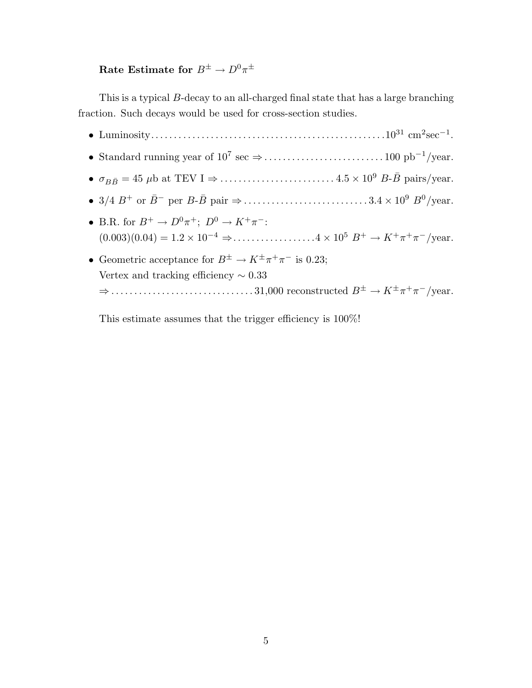## **Rate Estimate for**  $B^{\pm} \to D^0 \pi^{\pm}$

This is a typical B-decay to an all-charged final state that has a large branching fraction. Such decays would be used for cross-section studies.

• Luminosity...................................................10<sup>31</sup> cm<sup>2</sup>sec−<sup>1</sup>. • Standard running year of  $10^7 \text{ sec} \Rightarrow \dots \dots \dots \dots \dots \dots \dots \dots \dots \dots 100 \text{ pb}^{-1}/\text{year}.$ • <sup>σ</sup>BB¯ = 45 <sup>μ</sup>b at TEV I <sup>⇒</sup> ......................... <sup>4</sup>.<sup>5</sup> <sup>×</sup> <sup>10</sup><sup>9</sup> <sup>B</sup>-B¯ pairs/year. • 3/4 <sup>B</sup><sup>+</sup> or <sup>B</sup>¯<sup>−</sup> per <sup>B</sup>-B¯ pair <sup>⇒</sup> ........................... <sup>3</sup>.<sup>4</sup> <sup>×</sup> <sup>10</sup><sup>9</sup> <sup>B</sup><sup>0</sup>/year. • B.R. for  $B^+ \to D^0 \pi^+$ ;  $D^0 \to K^+ \pi^-$ :  $(0.003)(0.04) = 1.2 \times 10^{-4} \Rightarrow \dots \dots \dots \dots \dots \dots 4 \times 10^5 B^+ \rightarrow K^+ \pi^+ \pi^-$ /year. • Geometric acceptance for  $B^{\pm} \to K^{\pm} \pi^+ \pi^-$  is 0.23; Vertex and tracking efficiency ∼ 0.33 <sup>⇒</sup> ............................... 31,000 reconstructed <sup>B</sup><sup>±</sup> <sup>→</sup> <sup>K</sup>±π<sup>+</sup>π−/year.

This estimate assumes that the trigger efficiency is 100%!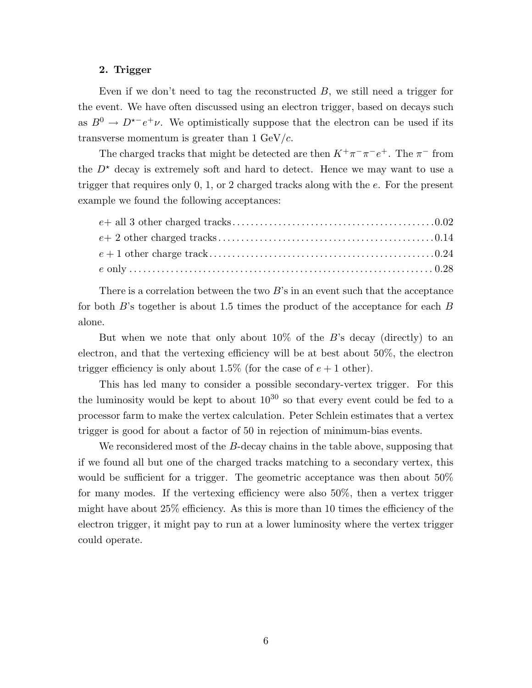#### **2. Trigger**

Even if we don't need to tag the reconstructed  $B$ , we still need a trigger for the event. We have often discussed using an electron trigger, based on decays such as  $B^0 \to D^{\star -} e^+ \nu$ . We optimistically suppose that the electron can be used if its transverse momentum is greater than  $1 \text{ GeV}/c$ .

The charged tracks that might be detected are then  $K^+\pi^-\pi^-e^+$ . The  $\pi^-$  from the  $D^*$  decay is extremely soft and hard to detect. Hence we may want to use a trigger that requires only 0, 1, or 2 charged tracks along with the e. For the present example we found the following acceptances:

There is a correlation between the two  $B$ 's in an event such that the acceptance for both B's together is about 1.5 times the product of the acceptance for each B alone.

But when we note that only about  $10\%$  of the B's decay (directly) to an electron, and that the vertexing efficiency will be at best about 50%, the electron trigger efficiency is only about 1.5% (for the case of  $e + 1$  other).

This has led many to consider a possible secondary-vertex trigger. For this the luminosity would be kept to about  $10^{30}$  so that every event could be fed to a processor farm to make the vertex calculation. Peter Schlein estimates that a vertex trigger is good for about a factor of 50 in rejection of minimum-bias events.

We reconsidered most of the B-decay chains in the table above, supposing that if we found all but one of the charged tracks matching to a secondary vertex, this would be sufficient for a trigger. The geometric acceptance was then about 50% for many modes. If the vertexing efficiency were also 50%, then a vertex trigger might have about 25% efficiency. As this is more than 10 times the efficiency of the electron trigger, it might pay to run at a lower luminosity where the vertex trigger could operate.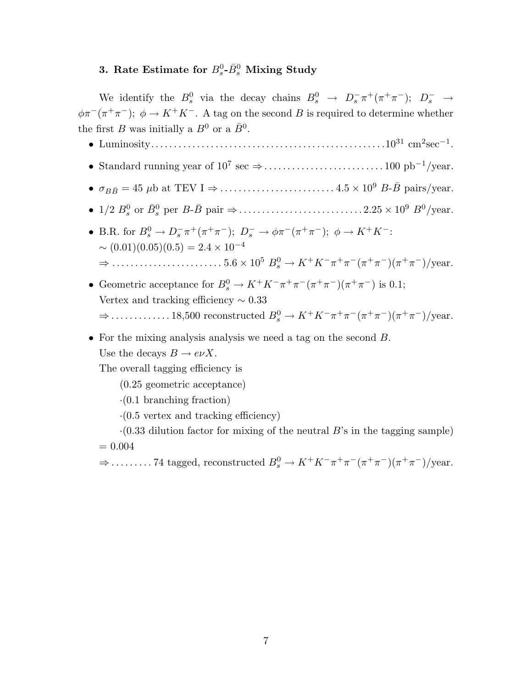## **3.** Rate Estimate for  $B_s^0$ - $\bar{B}_s^0$  Mixing Study

We identify the  $B_s^0$  via the decay chains  $B_s^0 \rightarrow D_s^- \pi^+ (\pi^+ \pi^-); D_s^- \rightarrow$  $\phi \pi^{-}(\pi^{+}\pi^{-}); \phi \to K^{+}K^{-}$ . A tag on the second B is required to determine whether the first  $B$  was initially a  $B^0$  or a  $\bar{B}^0$ .

- Luminosity...................................................10<sup>31</sup> cm<sup>2</sup>sec−<sup>1</sup>.
- Standard running year of 10<sup>7</sup> sec <sup>⇒</sup>.......................... 100 pb−<sup>1</sup>/year.
- <sup>σ</sup>BB¯ = 45 <sup>μ</sup>b at TEV I <sup>⇒</sup> ......................... <sup>4</sup>.<sup>5</sup> <sup>×</sup> <sup>10</sup><sup>9</sup> <sup>B</sup>-B¯ pairs/year.
- 1/2 <sup>B</sup><sup>0</sup> <sup>s</sup> or B¯<sup>0</sup> <sup>s</sup> per <sup>B</sup>-B¯ pair <sup>⇒</sup>........................... <sup>2</sup>.<sup>25</sup> <sup>×</sup> <sup>10</sup><sup>9</sup> <sup>B</sup><sup>0</sup>/year.
- B.R. for  $B_s^0 \to D_s^- \pi^+ (\pi^+ \pi^-); D_s^- \to \phi \pi^- (\pi^+ \pi^-); \phi \to K^+ K^-$ :  $\sim (0.01)(0.05)(0.5) = 2.4 \times 10^{-4}$ <sup>⇒</sup> ........................ <sup>5</sup>.<sup>6</sup> <sup>×</sup> <sup>10</sup><sup>5</sup> <sup>B</sup><sup>0</sup> <sup>s</sup> <sup>→</sup> <sup>K</sup><sup>+</sup>K−π<sup>+</sup>π−(π<sup>+</sup>π−)(π<sup>+</sup>π−)/year.
- Geometric acceptance for  $B_s^0 \to K^+ K^- \pi^+ \pi^- (\pi^+ \pi^-) (\pi^+ \pi^-)$  is 0.1; Vertex and tracking efficiency ∼ 0.33  $\Rightarrow$  .............. 18,500 reconstructed  $B_s^0 \to K^+K^-\pi^+\pi^-(\pi^+\pi^-)(\pi^+\pi^-)/\text{year}.$
- For the mixing analysis analysis we need a tag on the second B. Use the decays  $B \to e\nu X$ .

The overall tagging efficiency is

- (0.25 geometric acceptance)
- $\cdot$ (0.1 branching fraction)
- $\cdot$ (0.5 vertex and tracking efficiency)

 $\cdot$ (0.33 dilution factor for mixing of the neutral B's in the tagging sample)  $= 0.004$ 

 $\Rightarrow$  .......... 74 tagged, reconstructed  $B_s^0 \to K^+K^-\pi^+\pi^-(\pi^+\pi^-)(\pi^+\pi^-)/\text{year}.$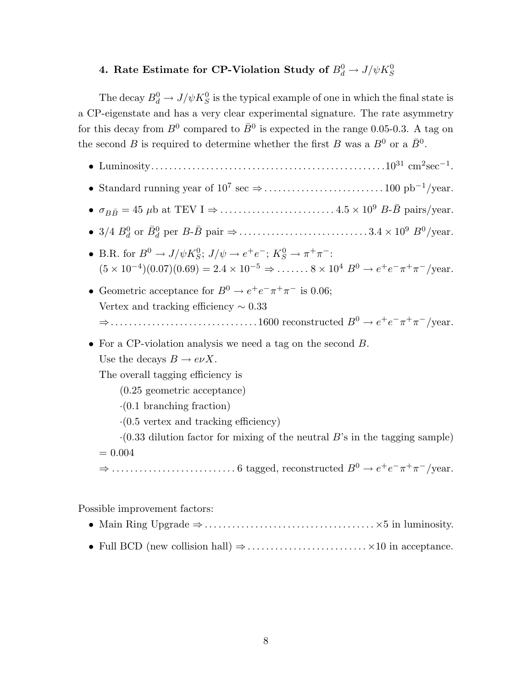# 4. Rate Estimate for CP-Violation Study of  $B^0_d \rightarrow J/\psi K^0_S$

The decay  $B_d^0 \to J/\psi K_S^0$  is the typical example of one in which the final state is a CP-eigenstate and has a very clear experimental signature. The rate asymmetry for this decay from  $B^0$  compared to  $\bar{B}^0$  is expected in the range 0.05-0.3. A tag on the second B is required to determine whether the first B was a  $B^0$  or a  $\bar{B}^0$ .

- Luminosity...................................................10<sup>31</sup> cm<sup>2</sup>sec−<sup>1</sup>.
- Standard running year of  $10^7 \text{ sec} \Rightarrow \dots \dots \dots \dots \dots \dots \dots \dots \dots 100 \text{ pb}^{-1}/\text{year}.$
- <sup>σ</sup>BB¯ = 45 <sup>μ</sup>b at TEV I <sup>⇒</sup> ......................... <sup>4</sup>.<sup>5</sup> <sup>×</sup> <sup>10</sup><sup>9</sup> <sup>B</sup>-B¯ pairs/year.
- 3/4 <sup>B</sup><sup>0</sup> <sup>d</sup> or B¯<sup>0</sup> <sup>d</sup> per <sup>B</sup>-B¯ pair <sup>⇒</sup> ............................ <sup>3</sup>.<sup>4</sup> <sup>×</sup> <sup>10</sup><sup>9</sup> <sup>B</sup><sup>0</sup>/year.
- B.R. for  $B^0 \to J/\psi K^0_S$ ;  $J/\psi \to e^+e^-$ ;  $K^0_S \to \pi^+\pi^-$ :  $(5 \times 10^{-4})(0.07)(0.69) = 2.4 \times 10^{-5} \Rightarrow \dots \dots \cdot 8 \times 10^{4} B^{0} \rightarrow e^{+} e^{-} \pi^{+} \pi^{-}$ /year.
- Geometric acceptance for  $B^0 \to e^+e^-\pi^+\pi^-$  is 0.06; Vertex and tracking efficiency  $\sim 0.33$ <sup>⇒</sup>................................ 1600 reconstructed <sup>B</sup><sup>0</sup> <sup>→</sup> <sup>e</sup><sup>+</sup>e−π<sup>+</sup>π−/year.
- For a CP-violation analysis we need a tag on the second B. Use the decays  $B \to e\nu X$ .

The overall tagging efficiency is

- (0.25 geometric acceptance)
- ·(0.1 branching fraction)
- $\cdot$ (0.5 vertex and tracking efficiency)

 $\cdot$ (0.33 dilution factor for mixing of the neutral B's in the tagging sample)  $= 0.004$ 

<sup>⇒</sup> ........................... 6 tagged, reconstructed <sup>B</sup><sup>0</sup> <sup>→</sup> <sup>e</sup><sup>+</sup>e−π<sup>+</sup>π−/year.

Possible improvement factors:

- Main Ring Upgrade ⇒.....................................×5 in luminosity.
- Full BCD (new collision hall) ⇒.......................... ×10 in acceptance.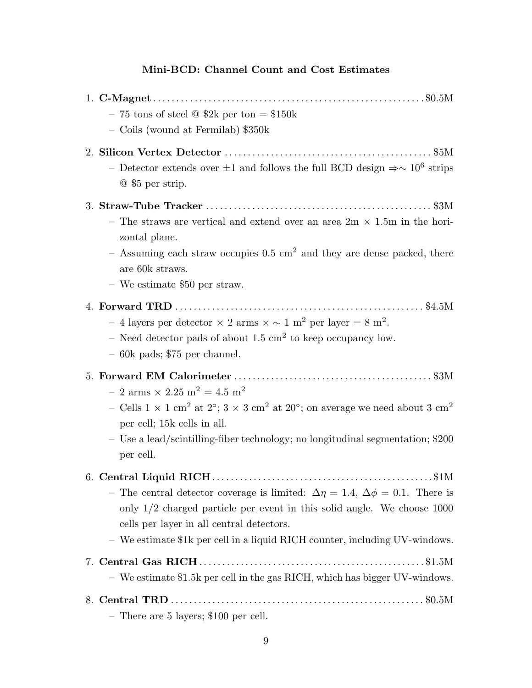## **Mini-BCD: Channel Count and Cost Estimates**

| - 75 tons of steel $\textcircled{3}$ \$2k per ton = \$150k<br>- Coils (wound at Fermilab) \$350k                                                                                                                                                                                                                                            |  |
|---------------------------------------------------------------------------------------------------------------------------------------------------------------------------------------------------------------------------------------------------------------------------------------------------------------------------------------------|--|
| - Detector extends over $\pm 1$ and follows the full BCD design $\Rightarrow \sim 10^6$ strips<br>$@$ \$5 per strip.                                                                                                                                                                                                                        |  |
| - The straws are vertical and extend over an area $2m \times 1.5m$ in the hori-<br>zontal plane.<br>- Assuming each straw occupies $0.5 \text{ cm}^2$ and they are dense packed, there<br>are 60k straws.<br>$-$ We estimate \$50 per straw.                                                                                                |  |
| - 4 layers per detector $\times$ 2 arms $\times \sim 1$ m <sup>2</sup> per layer = 8 m <sup>2</sup> .<br>– Need detector pads of about 1.5 $\rm cm^2$ to keep occupancy low.<br>$-60k$ pads; \$75 per channel.                                                                                                                              |  |
| $-2$ arms $\times$ 2.25 m <sup>2</sup> = 4.5 m <sup>2</sup><br>- Cells $1 \times 1$ cm <sup>2</sup> at $2^{\circ}$ ; $3 \times 3$ cm <sup>2</sup> at $20^{\circ}$ ; on average we need about $3 \text{ cm}^2$<br>per cell; 15k cells in all.<br>- Use a lead/scintilling-fiber technology; no longitudinal segmentation; \$200<br>per cell. |  |
| \$1M<br>- The central detector coverage is limited: $\Delta \eta = 1.4$ , $\Delta \phi = 0.1$ . There is<br>only $1/2$ charged particle per event in this solid angle. We choose 1000<br>cells per layer in all central detectors.<br>- We estimate \$1k per cell in a liquid RICH counter, including UV-windows.                           |  |
| - We estimate \$1.5k per cell in the gas RICH, which has bigger UV-windows.                                                                                                                                                                                                                                                                 |  |
| - There are 5 layers; \$100 per cell.                                                                                                                                                                                                                                                                                                       |  |